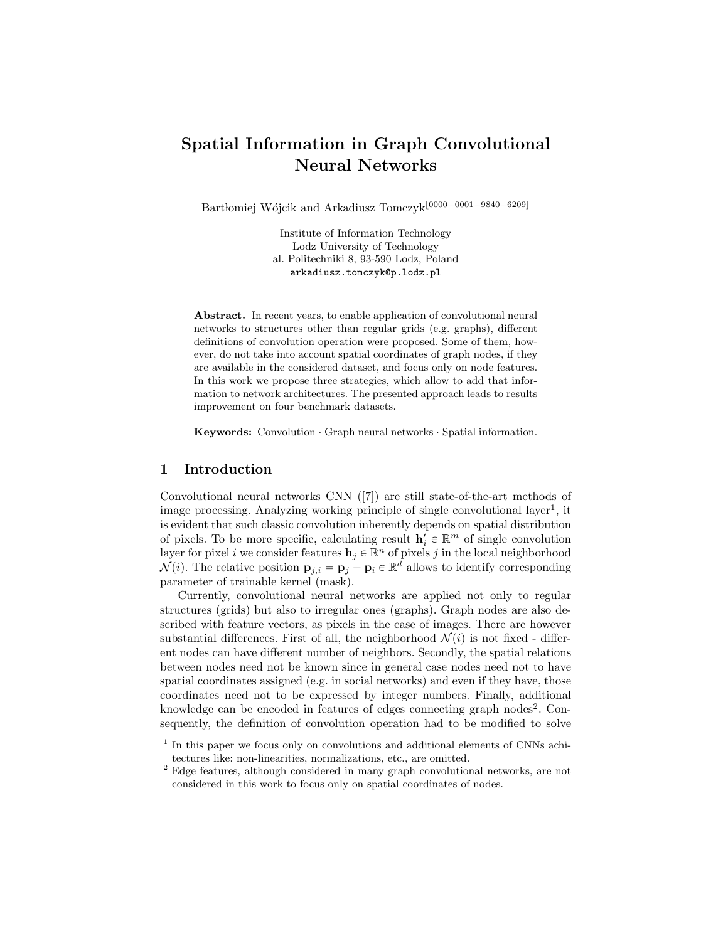# Spatial Information in Graph Convolutional Neural Networks

Bartłomiej Wójcik and Arkadiusz $\mathrm{Tomczyk}^{[0000-0001-9840-6209]}$ 

Institute of Information Technology Lodz University of Technology al. Politechniki 8, 93-590 Lodz, Poland arkadiusz.tomczyk@p.lodz.pl

Abstract. In recent years, to enable application of convolutional neural networks to structures other than regular grids (e.g. graphs), different definitions of convolution operation were proposed. Some of them, however, do not take into account spatial coordinates of graph nodes, if they are available in the considered dataset, and focus only on node features. In this work we propose three strategies, which allow to add that information to network architectures. The presented approach leads to results improvement on four benchmark datasets.

Keywords: Convolution · Graph neural networks · Spatial information.

## 1 Introduction

Convolutional neural networks CNN ([7]) are still state-of-the-art methods of image processing. Analyzing working principle of single convolutional layer<sup>1</sup>, it is evident that such classic convolution inherently depends on spatial distribution of pixels. To be more specific, calculating result  $\mathbf{h}'_i \in \mathbb{R}^m$  of single convolution layer for pixel i we consider features  $h_j \in \mathbb{R}^n$  of pixels j in the local neighborhood  $\mathcal{N}(i)$ . The relative position  $\mathbf{p}_{j,i} = \mathbf{p}_j - \mathbf{p}_i \in \mathbb{R}^d$  allows to identify corresponding parameter of trainable kernel (mask).

Currently, convolutional neural networks are applied not only to regular structures (grids) but also to irregular ones (graphs). Graph nodes are also described with feature vectors, as pixels in the case of images. There are however substantial differences. First of all, the neighborhood  $\mathcal{N}(i)$  is not fixed - different nodes can have different number of neighbors. Secondly, the spatial relations between nodes need not be known since in general case nodes need not to have spatial coordinates assigned (e.g. in social networks) and even if they have, those coordinates need not to be expressed by integer numbers. Finally, additional knowledge can be encoded in features of edges connecting graph nodes<sup>2</sup>. Consequently, the definition of convolution operation had to be modified to solve

<sup>&</sup>lt;sup>1</sup> In this paper we focus only on convolutions and additional elements of CNNs achitectures like: non-linearities, normalizations, etc., are omitted.

 $^{\rm 2}$  Edge features, although considered in many graph convolutional networks, are not considered in this work to focus only on spatial coordinates of nodes.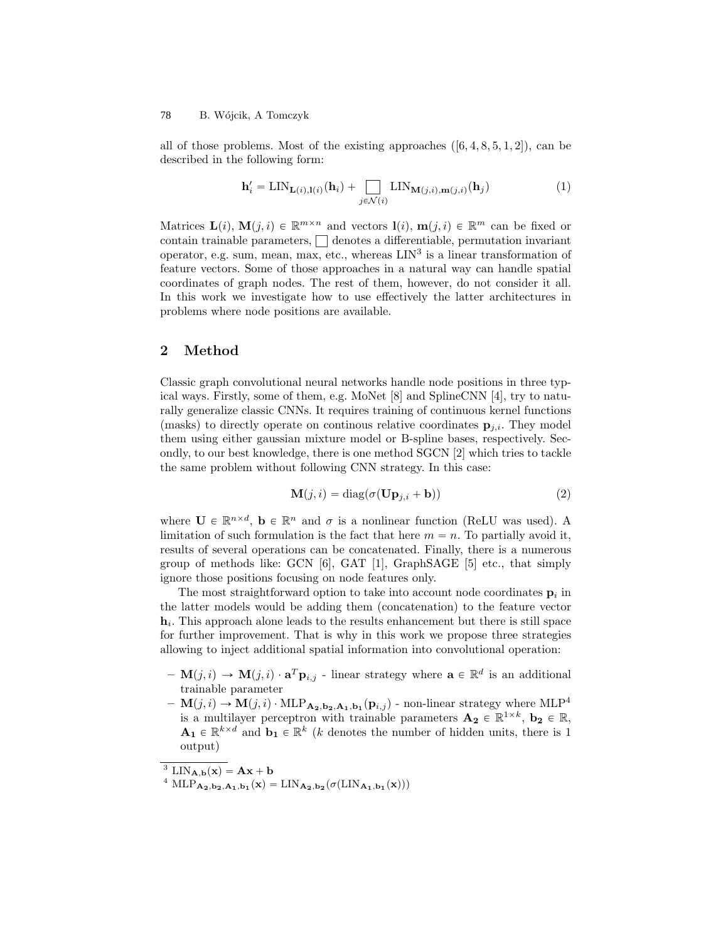#### B. Wójcik, A Tomczyk 78

all of those problems. Most of the existing approaches  $([6, 4, 8, 5, 1, 2])$ , can be described in the following form:

$$
\mathbf{h}'_i = \text{LIN}_{\mathbf{L}(i),\mathbf{l}(i)}(\mathbf{h}_i) + \sum_{j \in \mathcal{N}(i)} \text{LIN}_{\mathbf{M}(j,i),\mathbf{m}(j,i)}(\mathbf{h}_j)
$$
(1)

Matrices  $\mathbf{L}(i)$ ,  $\mathbf{M}(j,i) \in \mathbb{R}^{m \times n}$  and vectors  $\mathbf{l}(i)$ ,  $\mathbf{m}(j,i) \in \mathbb{R}^m$  can be fixed or contain trainable parameters,  $\Box$  denotes a differentiable, permutation invariant operator, e.g. sum, mean, max, etc., whereas  $LIN<sup>3</sup>$  is a linear transformation of feature vectors. Some of those approaches in a natural way can handle spatial coordinates of graph nodes. The rest of them, however, do not consider it all. In this work we investigate how to use effectively the latter architectures in problems where node positions are available.

#### 2 Method

Classic graph convolutional neural networks handle node positions in three typical ways. Firstly, some of them, e.g. MoNet [8] and SplineCNN [4], try to naturally generalize classic CNNs. It requires training of continuous kernel functions (masks) to directly operate on continous relative coordinates  $\mathbf{p}_{j,i}$ . They model them using either gaussian mixture model or B-spline bases, respectively. Secondly, to our best knowledge, there is one method SGCN [2] which tries to tackle the same problem without following CNN strategy. In this case:

$$
\mathbf{M}(j,i) = \text{diag}(\sigma(\mathbf{Up}_{j,i} + \mathbf{b}))
$$
\n(2)

where  $\mathbf{U} \in \mathbb{R}^{n \times d}$ ,  $\mathbf{b} \in \mathbb{R}^{n}$  and  $\sigma$  is a nonlinear function (ReLU was used). A limitation of such formulation is the fact that here  $m = n$ . To partially avoid it, results of several operations can be concatenated. Finally, there is a numerous group of methods like:  $GCN$  [6],  $GAT$  [1],  $GraphSAGE$  [5] etc., that simply ignore those positions focusing on node features only.

The most straightforward option to take into account node coordinates  $\mathbf{p}_i$  in the latter models would be adding them (concatenation) to the feature vector  $h_i$ . This approach alone leads to the results enhancement but there is still space for further improvement. That is why in this work we propose three strategies allowing to inject additional spatial information into convolutional operation:

- $\mathbf{M}(j,i) \to \mathbf{M}(j,i) \cdot \mathbf{a}^T \mathbf{p}_{i,j}$  linear strategy where  $\mathbf{a} \in \mathbb{R}^d$  is an additional trainable parameter
- $\mathbf{M}(j, i) \rightarrow \mathbf{M}(j, i) \cdot \text{MLP}_{\mathbf{A_2}, \mathbf{b_2}, \mathbf{A_1}, \mathbf{b_1}}(\mathbf{p}_{i,j})$  non-linear strategy where  $\text{MLP}^4$ is a multilayer perceptron with trainable parameters  $\mathbf{A_2} \in \mathbb{R}^{1 \times k}$ ,  $\mathbf{b_2} \in \mathbb{R}$ ,  $\mathbf{A}_1 \in \mathbb{R}^{k \times d}$  and  $\mathbf{b}_1 \in \mathbb{R}^k$  (*k* denotes the number of hidden units, there is 1 output)

<sup>&</sup>lt;sup>3</sup> LIN<sub>A,b</sub> $(x) = Ax + b$ 

<sup>&</sup>lt;sup>4</sup> MLP<sub>A<sub>2</sub>,b<sub>2</sub>,A<sub>1</sub>,b<sub>1</sub></sub>(**x**) = LIN<sub>A<sub>2</sub>,b<sub>2</sub></sub>( $\sigma$ (LIN<sub>A<sub>1</sub>,b<sub>1</sub></sub>(**x**)))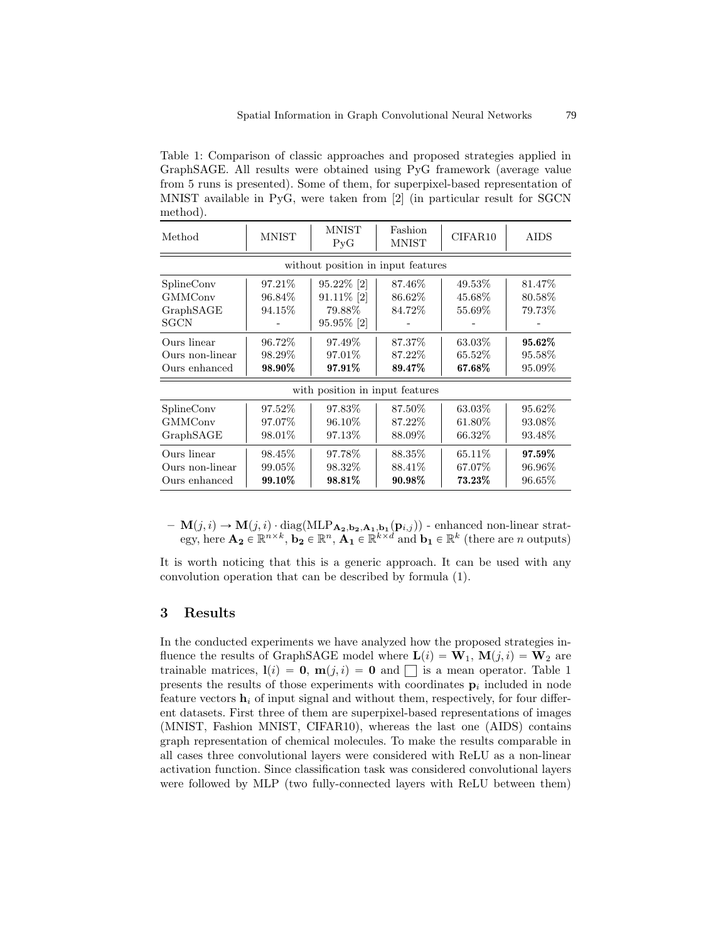Table 1: Comparison of classic approaches and proposed strategies applied in GraphSAGE. All results were obtained using PyG framework (average value from 5 runs is presented). Some of them, for superpixel-based representation of MNIST available in PyG, were taken from [2] (in particular result for SGCN method).

| Method                                            | <b>MNIST</b>                  | <b>MNIST</b><br>P <sub>V</sub> G                 | Fashion<br><b>MNIST</b>       | CIFAR10                     | AIDS                        |
|---------------------------------------------------|-------------------------------|--------------------------------------------------|-------------------------------|-----------------------------|-----------------------------|
|                                                   |                               | without position in input features               |                               |                             |                             |
| SplineConv<br><b>GMMConv</b><br>GraphSAGE<br>SGCN | 97.21\%<br>96.84\%<br>94.15\% | 95.22% [2]<br>91.11% [2]<br>79.88%<br>95.95% [2] | 87.46\%<br>86.62\%<br>84.72%  | 49.53%<br>45.68%<br>55.69%  | 81.47\%<br>80.58%<br>79.73% |
| Ours linear<br>Ours non-linear<br>Ours enhanced   | 96.72\%<br>98.29\%<br>98.90%  | 97.49\%<br>97.01\%<br>97.91%                     | 87.37\%<br>87.22\%<br>89.47\% | 63.03%<br>65.52\%<br>67.68% | 95.62%<br>95.58%<br>95.09%  |
|                                                   |                               | with position in input features                  |                               |                             |                             |
| SplineConv<br><b>GMMConv</b><br>GraphSAGE         | 97.52\%<br>97.07%<br>98.01%   | 97.83\%<br>96.10\%<br>97.13\%                    | 87.50%<br>87.22\%<br>88.09%   | 63.03%<br>61.80\%<br>66.32% | 95.62%<br>93.08%<br>93.48%  |
| Ours linear<br>Ours non-linear<br>Ours enhanced   | 98.45\%<br>99.05\%<br>99.10%  | 97.78\%<br>98.32\%<br>98.81%                     | 88.35\%<br>88.41\%<br>90.98%  | 65.11\%<br>67.07%<br>73.23% | 97.59%<br>96.96\%<br>96.65% |

 $- \mathbf{M}(j,i) \rightarrow \mathbf{M}(j,i) \cdot \text{diag}(\text{MLP}_{\mathbf{A_2},\mathbf{b_2},\mathbf{A_1},\mathbf{b_1}}(\mathbf{p}_{i,j}))$  - enhanced non-linear strategy, here  $\mathbf{A_2} \in \mathbb{R}^{n \times k}$ ,  $\mathbf{b_2} \in \mathbb{R}^n$ ,  $\mathbf{A_1} \in \mathbb{R}^{k \times d}$  and  $\mathbf{b_1} \in \mathbb{R}^k$  (there are *n* outputs)

It is worth noticing that this is a generic approach. It can be used with any convolution operation that can be described by formula (1).

## 3 Results

In the conducted experiments we have analyzed how the proposed strategies influence the results of GraphSAGE model where  $\mathbf{L}(i) = \mathbf{W}_1$ ,  $\mathbf{M}(j, i) = \mathbf{W}_2$  are trainable matrices,  $\mathbf{l}(i) = \mathbf{0}$ ,  $\mathbf{m}(j, i) = \mathbf{0}$  and  $\Box$  is a mean operator. Table 1 presents the results of those experiments with coordinates  $\mathbf{p}_i$  included in node feature vectors  $\mathbf{h}_i$  of input signal and without them, respectively, for four different datasets. First three of them are superpixel-based representations of images (MNIST, Fashion MNIST, CIFAR10), whereas the last one (AIDS) contains graph representation of chemical molecules. To make the results comparable in all cases three convolutional layers were considered with ReLU as a non-linear activation function. Since classification task was considered convolutional layers were followed by MLP (two fully-connected layers with ReLU between them)